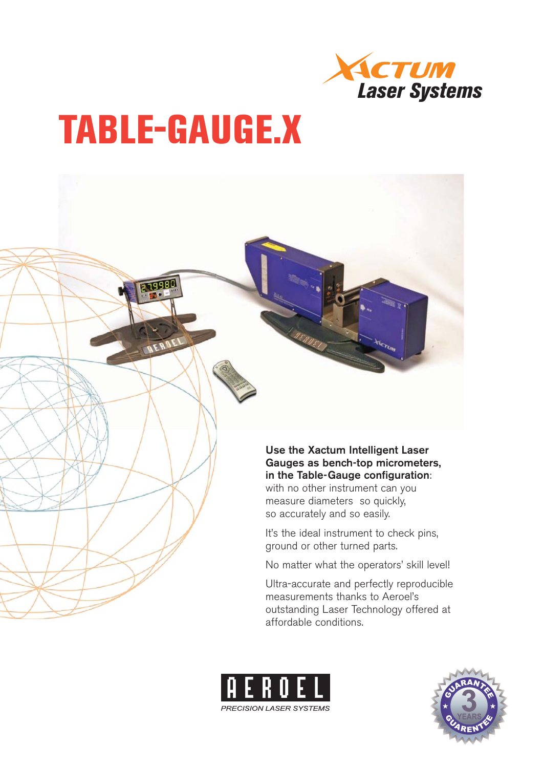

# **TABLE-GAUGE.X**

11998



It's the ideal instrument to check pins, ground or other turned parts.

No matter what the operators' skill level!

Ultra-accurate and perfectly reproducible measurements thanks to Aeroel's outstanding Laser Technology offered at affordable conditions.



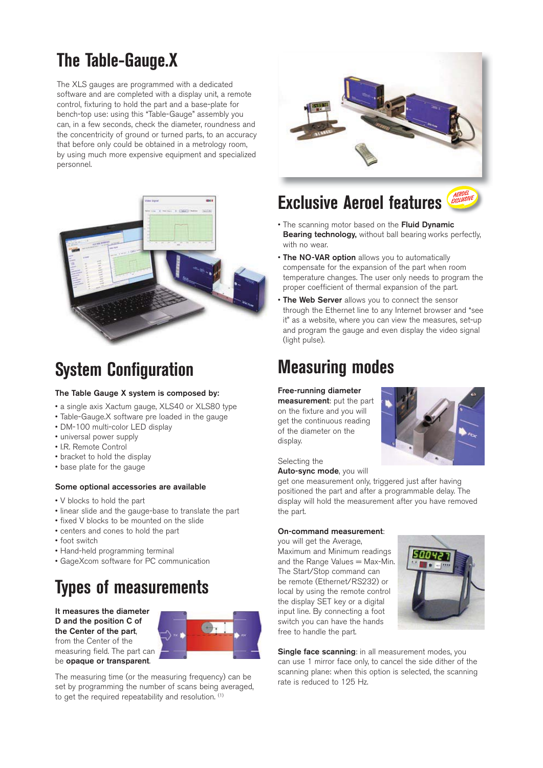## **The Table-Gauge.X**

The XLS gauges are programmed with a dedicated software and are completed with a display unit, a remote control, fixturing to hold the part and a base-plate for bench-top use: using this "Table-Gauge" assembly you can, in a few seconds, check the diameter, roundness and the concentricity of ground or turned parts, to an accuracy that before only could be obtained in a metrology room, by using much more expensive equipment and specialized personnel.



### **System Configuration**

#### **The Table Gauge X system is composed by:**

- a single axis Xactum gauge, XLS40 or XLS80 type
- Table-Gauge.X software pre loaded in the gauge
- DM-100 multi-color LED display
- universal power supply
- I.R. Remote Control
- bracket to hold the display
- base plate for the gauge

#### **Some optional accessories are available**

- V blocks to hold the part
- linear slide and the gauge-base to translate the part
- fixed V blocks to be mounted on the slide
- centers and cones to hold the part
- foot switch
- Hand-held programming terminal
- GageXcom software for PC communication

# **Types of measurements**

**It measures the diameter D and the position C of the Center of the part**, from the Center of the measuring field. The part can be **opaque or transparent**.



The measuring time (or the measuring frequency) can be set by programming the number of scans being averaged, to get the required repeatability and resolution. (1)



### **Exclusive Aeroel features**

- The scanning motor based on the **Fluid Dynamic Bearing technology,** without ball bearing works perfectly, with no wear.
- **The NO-VAR option** allows you to automatically compensate for the expansion of the part when room temperature changes. The user only needs to program the proper coefficient of thermal expansion of the part.
- **The Web Server** allows you to connect the sensor through the Ethernet line to any Internet browser and "see it" as a website, where you can view the measures, set-up and program the gauge and even display the video signal (light pulse).

### **Measuring modes**

#### **Free-running diameter**

**measurement**: put the part on the fixture and you will get the continuous reading of the diameter on the display.



Selecting the

**Auto-sync mode**, you will

get one measurement only, triggered just after having positioned the part and after a programmable delay. The display will hold the measurement after you have removed the part.

#### **On-command measurement**:

you will get the Average, Maximum and Minimum readings and the Range Values = Max-Min. The Start/Stop command can be remote (Ethernet/RS232) or local by using the remote control the display SET key or a digital input line. By connecting a foot switch you can have the hands free to handle the part.



**Single face scanning:** in all measurement modes, you can use 1 mirror face only, to cancel the side dither of the scanning plane: when this option is selected, the scanning rate is reduced to 125 Hz.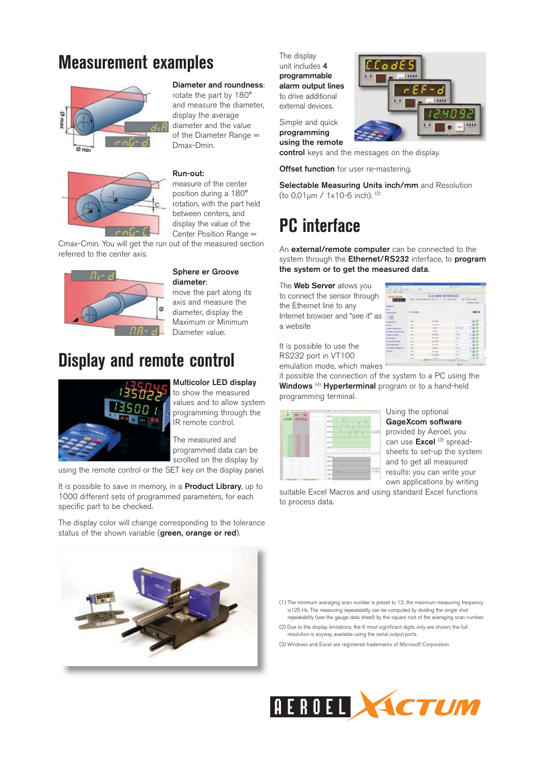### **Measurement examples**





#### **Diameter and roundness**:

rotate the part by 180° and measure the diameter, display the average diameter and the value of the Diameter Range = Dmax-Dmin.

#### **Run-out:**

measure of the center position during a 180° rotation, with the part held between centers, and display the value of the Center Position Range =

Cmax-Cmin. You will get the run out of the measured section referred to the center axis.



#### **Sphere er Groove diameter**:

move the part along its axis and measure the diameter, display the Maximum or Minimum Diameter value.

### **Display and remote control**



**Multicolor LED display**  to show the measured values and to allow system programming through the IR remote control.

The measured and programmed data can be scrolled on the display by

using the remote control or the SET key on the display panel.

It is possible to save in memory, in a **Product Library**, up to 1000 different sets of programmed parameters, for each specific part to be checked.

The display color will change corresponding to the tolerance status of the shown variable (**green, orange or red**).



The display unit includes **4 programmable alarm output lines** to drive additional external devices.

Simple and quick **programming using the remote** 

**control** keys and the messages on the display.

**Offset function** for user re-mastering.

**Selectable Measuring Units inch/mm** and Resolution (to 0.01μm / 1x10-6 inch). (2)

### **PC interface**

An **external/remote computer** can be connected to the system through the **Ethernet/RS232** interface, to **program the system or to get the measured data**.

The **Web Server** allows you to connect the sensor through the Ethernet line to any Internet browser and "see it" as a website

| 1111111                       | XLS WEB INTERFACE<br>Avenue a communication of<br>they testing payment<br><b>Postal de El 201-4</b><br><b>ANTICOLOGY</b><br><b>MARK LINK C</b> |                |               |        |
|-------------------------------|------------------------------------------------------------------------------------------------------------------------------------------------|----------------|---------------|--------|
| <b>COST</b>                   |                                                                                                                                                |                |               |        |
| <b>Les</b>                    | Chiles                                                                                                                                         |                |               |        |
|                               |                                                                                                                                                |                |               |        |
|                               |                                                                                                                                                | <b>ALCOHOL</b> |               |        |
| <b>School State</b><br>--     |                                                                                                                                                | 4.4.14         |               |        |
|                               |                                                                                                                                                |                | $-111$        |        |
|                               | <b>SEE</b>                                                                                                                                     | . .            | ۰             | ۰<br>ш |
| ----                          | 41.6                                                                                                                                           | $1 - 20 = 10$  | <b>SALE</b>   |        |
|                               | 444                                                                                                                                            |                | <b>TANKS</b>  |        |
| ---                           |                                                                                                                                                | <b>Links</b>   | ÷             |        |
| <b><i><u>INNOTHER</u></i></b> | <b>COR</b>                                                                                                                                     | 04.89          | ÷             |        |
|                               |                                                                                                                                                | <b>DOM:</b>    |               |        |
|                               |                                                                                                                                                |                | <b>Sec. 3</b> |        |
|                               |                                                                                                                                                | An women       | m             |        |

It is possible to use the RS232 port in VT100 emulation mode, which makes

it possible the connection of the system to a PC using the **Windows** (4) **Hyperterminal** program or to a hand-held programming terminal.

| 63<br>$\alpha_{f}$                                                                                                                                                               | <b>STAR</b>                                                                                                             |
|----------------------------------------------------------------------------------------------------------------------------------------------------------------------------------|-------------------------------------------------------------------------------------------------------------------------|
| xlu13ay                                                                                                                                                                          | <b>START</b><br><b>ATTAC</b><br>÷.                                                                                      |
| <b>The Control</b><br><b>START</b><br>-<br>-<br>٠<br>۰<br>-<br>-<br>로<br>÷.<br>$\overline{\phantom{a}}$<br>œ<br><br>٠<br>m.<br><b>Service</b><br>-<br><br>--<br>٠<br>-<br>-<br>- | ı<br><b>ATTAI</b><br>ALC: U<br><b>AN</b>                                                                                |
| -<br>٠<br>--<br>-<br>-<br>--<br>-<br>. .                                                                                                                                         | 2002/14/14<br>action to the car in child<br><b>CALLS</b><br>1.7<br><b>Richard Ave</b><br>-<br>۰<br>×<br><b>ALCOHOL:</b> |

Using the optional **GageXcom software** provided by Aeroel, you can use **Excel** (3) spreadsheets to set-up the system and to get all measured results: you can write your own applications by writing

suitable Excel Macros and using standard Excel functions to process data.

(1) The minimum averaging scan number is preset to 12; the maximum measuring frequency is125 Hz. The measuring repeatability can be computed by dividing the single shot repeatability (see the gauge data sheet) by the square root of the averaging scan number.

(2) Due to the display limitations, the 6 most significant digits only are shown; the full resolution is anyway available using the serial output ports.

(3) Windows and Excel are registered trademarks of Microsoft Corporation